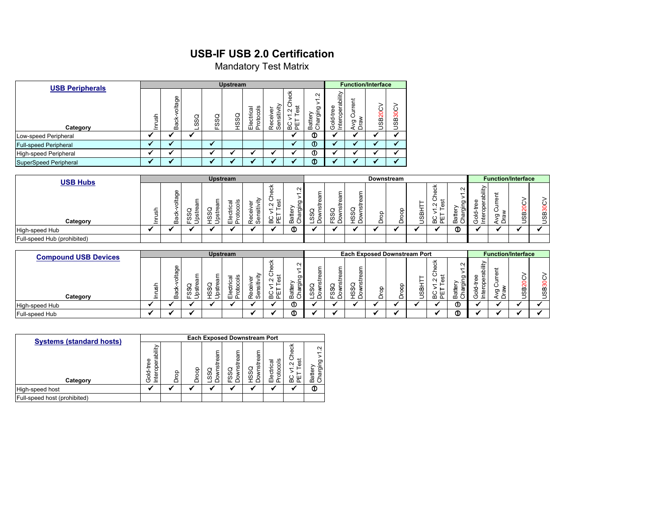## **USB-IF USB 2.0 Certification**

Mandatory Test Matrix

| <b>USB Peripherals</b>       |        |                  |     |           | <b>Upstream</b> |                                   |                                             |                                                                                  |                                              |                                                 |                                    | <b>Function/Interface</b> |                             |
|------------------------------|--------|------------------|-----|-----------|-----------------|-----------------------------------|---------------------------------------------|----------------------------------------------------------------------------------|----------------------------------------------|-------------------------------------------------|------------------------------------|---------------------------|-----------------------------|
| Category                     | Inrush | voltage<br>Back- | SSQ | SSQ<br>щ. | HSSQ            | goo<br>ctrical<br>roto<br>₾<br>யட | ₽<br>ō<br>≔<br>≥<br>ළා<br>ဖ<br>⊂<br>Φ<br>αā | も<br>Φ<br>ಕ<br>$\sim$<br>ä<br>ш<br>$\boldsymbol{\underline{\omega}}$<br>$\Omega$ | $\sim$<br>σ.<br>≔<br>hargi<br>atte<br>œ<br>C | ability<br>8<br>৯<br>teropo<br>노<br>흥<br>드<br>৩ | ent<br>raw<br>თ<br>$\bigcirc$<br>◅ | 20C<br>98                 | $rac{1}{200}$<br><b>USB</b> |
| Low-speed Peripheral         |        |                  |     |           |                 |                                   |                                             |                                                                                  | $^{\circ}$                                   |                                                 |                                    |                           |                             |
| <b>Full-speed Peripheral</b> |        |                  |     | a4        |                 |                                   |                                             | $\overline{\phantom{a}}$                                                         | $^\circledR$                                 |                                                 |                                    |                           |                             |
| High-speed Peripheral        |        |                  |     |           |                 |                                   |                                             |                                                                                  | $^{\circ}$                                   |                                                 |                                    |                           |                             |
| SuperSpeed Peripheral        |        |                  |     |           |                 |                                   |                                             |                                                                                  | $^\circledR$                                 |                                                 |                                    |                           |                             |

| <b>Upstream</b><br><b>USB Hubs</b> |    |                       |        |    |               |     |   |              |        |                    | Downstream |  |   |         |             | <b>Function/Interface</b>               |          |      |    |             |
|------------------------------------|----|-----------------------|--------|----|---------------|-----|---|--------------|--------|--------------------|------------|--|---|---------|-------------|-----------------------------------------|----------|------|----|-------------|
|                                    | के | Φ<br>ō<br>σ<br>≒<br>Ğ | ၯ      | 55 | त्त<br>w<br>Φ |     | ¥ | $\sim$<br>o. |        |                    |            |  |   |         | ⌒           | $\sim$<br>Ō<br>$\overline{\phantom{0}}$ | $-$<br>ء | ರಾ ಹ | ٢r | ↺<br>ო<br>≃ |
| Category                           |    | ത<br>≃                | ω<br>≏ | Q  | ہ س           | . თ |   | ≃            | S<br>O | $\omega$<br>o<br>· | ഗ          |  | ≏ | დ.<br>┘ | - 111<br>മമ | ≃                                       | ᆖ        | ≏    |    | ၯ           |
| High-speed Hub                     |    |                       |        |    |               |     |   | ⊕            |        |                    |            |  |   |         |             | ◍                                       |          |      |    |             |
| Full-speed Hub (prohibited)        |    |                       |        |    |               |     |   |              |        |                    |            |  |   |         |             |                                         |          |      |    |             |

| Upstream<br><b>Compound USB Devices</b> |   |                       |                    |               |                                     |                |                    |                    |                    |                        | <b>Each Exposed Downstream Port</b> |        | <b>Function/Interface</b> |                  |            |                  |                 |                |        |                      |
|-----------------------------------------|---|-----------------------|--------------------|---------------|-------------------------------------|----------------|--------------------|--------------------|--------------------|------------------------|-------------------------------------|--------|---------------------------|------------------|------------|------------------|-----------------|----------------|--------|----------------------|
|                                         |   |                       |                    |               |                                     |                | $\mathbf{x}$<br>-- | $\sim$             |                    |                        |                                     |        |                           |                  | 옭          | $\sim$           |                 |                |        |                      |
| Category                                | 芴 | Φ<br>Ō<br>븠<br>৳<br>∞ | ഗ<br>क्र<br>w<br>우 | თ<br><b>S</b> | $\equiv$<br>-<br>$\mathbf{Q}$<br>шΔ | ሰነ<br>đ١<br>œσ | ш<br>m a           | തി<br>ίC<br>÷<br>∞ | Ō.<br>w<br>$\circ$ | 3<br>ഗ<br>w<br>$\circ$ | თ<br>ഗ്ര                            | 8<br>≏ | ∽<br>ਠ                    | –<br>≃<br>5<br>┘ | $-\,$<br>≃ | ත<br>$\sim$<br>≃ | bilit<br>ω<br>흐 | កា<br>$\sigma$ | ≃<br>w | 0<br><b>SB3</b><br>ٮ |
| High-speed Hub                          |   |                       |                    |               |                                     |                |                    | ⊕                  |                    |                        |                                     |        |                           |                  |            | ⊕                |                 |                |        |                      |
| Full-speed Hub                          |   |                       |                    |               |                                     |                |                    | ⊕                  |                    |                        |                                     |        |                           |                  |            | ⊕                |                 |                |        |                      |

| <b>Systems (standard hosts)</b> | <b>Each Exposed Downstream Port</b>                               |        |     |                            |                                |                                      |                                          |                                                                                   |                                        |  |  |  |  |  |  |
|---------------------------------|-------------------------------------------------------------------|--------|-----|----------------------------|--------------------------------|--------------------------------------|------------------------------------------|-----------------------------------------------------------------------------------|----------------------------------------|--|--|--|--|--|--|
| Category                        | bilit<br>σ<br>Φ<br>$\Phi$<br>Φ<br>۵<br>흥<br>₫<br>$\subset$<br>(2) | 8<br>C | goo | 듧<br>ಕ<br>o<br>ð<br>S<br>c | 듧<br>╦<br>င္တ<br>δ<br>$\omega$ | stream<br>c<br><b>S</b><br>ŠS<br>۰ ص | 8<br>lectrical<br>rotoc<br>ш<br>$\Omega$ | š<br>O<br>ಕ<br>$\sim$<br>Φ<br>$\overline{\phantom{0}}$<br>ပ<br>ш<br>≃<br>$\Omega$ | Ν<br>᠇<br>ֵּפַ<br>ಕ<br>atter<br>횬<br>ه |  |  |  |  |  |  |
| High-speed host                 |                                                                   |        |     |                            |                                |                                      |                                          |                                                                                   | ◑                                      |  |  |  |  |  |  |
| Full-speed host (prohibited)    |                                                                   |        |     |                            |                                |                                      |                                          |                                                                                   |                                        |  |  |  |  |  |  |